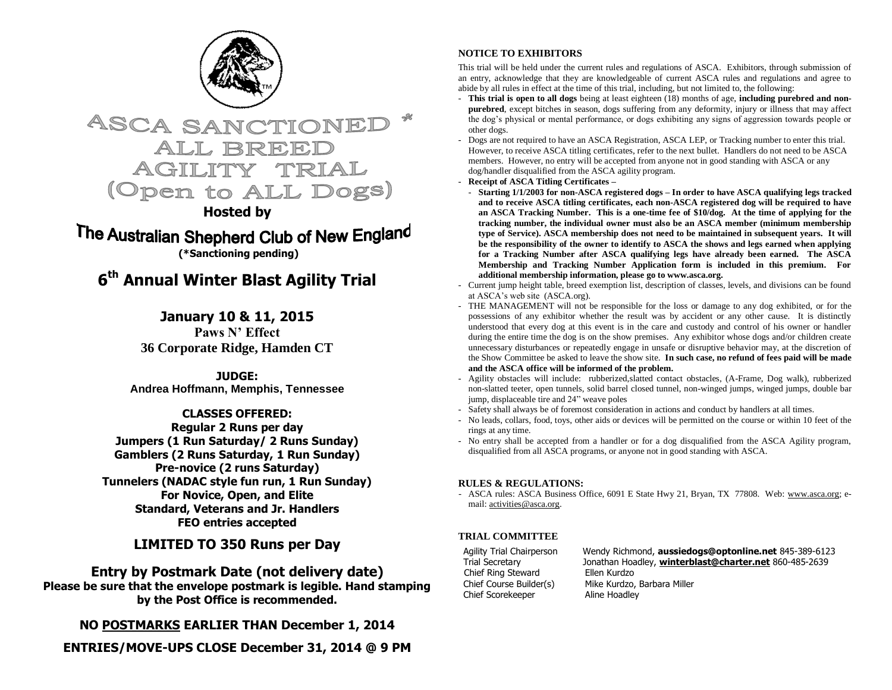



### **Hosted by**

The Australian Shepherd Club of New England **(\*Sanctioning pending)**

## **6 th Annual Winter Blast Agility Trial**

### **January 10 & 11, 2015**

**Paws N' Effect 36 Corporate Ridge, Hamden CT**

**JUDGE: Andrea Hoffmann, Memphis, Tennessee**

**CLASSES OFFERED: Regular 2 Runs per day Jumpers (1 Run Saturday/ 2 Runs Sunday) Gamblers (2 Runs Saturday, 1 Run Sunday) Pre-novice (2 runs Saturday) Tunnelers (NADAC style fun run, 1 Run Sunday) For Novice, Open, and Elite Standard, Veterans and Jr. Handlers FEO entries accepted**

#### **LIMITED TO 350 Runs per Day**

#### **Entry by Postmark Date (not delivery date) Please be sure that the envelope postmark is legible. Hand stamping by the Post Office is recommended.**

**NO POSTMARKS EARLIER THAN December 1, 2014**

**ENTRIES/MOVE-UPS CLOSE December 31, 2014 @ 9 PM**

#### **NOTICE TO EXHIBITORS**

This trial will be held under the current rules and regulations of ASCA. Exhibitors, through submission of an entry, acknowledge that they are knowledgeable of current ASCA rules and regulations and agree to abide by all rules in effect at the time of this trial, including, but not limited to, the following:

- **This trial is open to all dogs** being at least eighteen (18) months of age, **including purebred and nonpurebred**, except bitches in season, dogs suffering from any deformity, injury or illness that may affect the dog's physical or mental performance, or dogs exhibiting any signs of aggression towards people or other dogs.
- Dogs are not required to have an ASCA Registration, ASCA LEP, or Tracking number to enter this trial. However, to receive ASCA titling certificates, refer to the next bullet. Handlers do not need to be ASCA members. However, no entry will be accepted from anyone not in good standing with ASCA or any dog/handler disqualified from the ASCA agility program.
- **Receipt of ASCA Titling Certificates –**
- **Starting 1/1/2003 for non-ASCA registered dogs – In order to have ASCA qualifying legs tracked and to receive ASCA titling certificates, each non-ASCA registered dog will be required to have an ASCA Tracking Number. This is a one-time fee of \$10/dog. At the time of applying for the tracking number, the individual owner must also be an ASCA member (minimum membership type of Service). ASCA membership does not need to be maintained in subsequent years. It will be the responsibility of the owner to identify to ASCA the shows and legs earned when applying for a Tracking Number after ASCA qualifying legs have already been earned. The ASCA Membership and Tracking Number Application form is included in this premium. For additional membership information, please go to www.asca.org.**
- Current jump height table, breed exemption list, description of classes, levels, and divisions can be found at ASCA's web site (ASCA.org).
- THE MANAGEMENT will not be responsible for the loss or damage to any dog exhibited, or for the possessions of any exhibitor whether the result was by accident or any other cause. It is distinctly understood that every dog at this event is in the care and custody and control of his owner or handler during the entire time the dog is on the show premises. Any exhibitor whose dogs and/or children create unnecessary disturbances or repeatedly engage in unsafe or disruptive behavior may, at the discretion of the Show Committee be asked to leave the show site. **In such case, no refund of fees paid will be made and the ASCA office will be informed of the problem.**
- Agility obstacles will include: rubberized,slatted contact obstacles, (A-Frame, Dog walk), rubberized non-slatted teeter, open tunnels, solid barrel closed tunnel, non-winged jumps, winged jumps, double bar jump, displaceable tire and 24" weave poles
- Safety shall always be of foremost consideration in actions and conduct by handlers at all times.
- No leads, collars, food, toys, other aids or devices will be permitted on the course or within 10 feet of the rings at any time.
- No entry shall be accepted from a handler or for a dog disqualified from the ASCA Agility program, disqualified from all ASCA programs, or anyone not in good standing with ASCA.

#### **RULES & REGULATIONS:**

- ASCA rules: ASCA Business Office, 6091 E State Hwy 21, Bryan, TX 77808. Web: [www.asca.org;](http://www.asca.org/) email[: activities@asca.org.](mailto:activities@asca.org) 

#### **TRIAL COMMITTEE**

Chief Ring Steward Ellen Kurdzo Chief Scorekeeper Aline Hoadley

Agility Trial Chairperson Wendy Richmond, **aussiedogs@optonline.net** 845-389-6123 Trial Secretary Jonathan Hoadley, **[winterblast@charter.net](mailto:winterblast@charter.net)** 860-485-2639 Chief Course Builder(s) Mike Kurdzo, Barbara Miller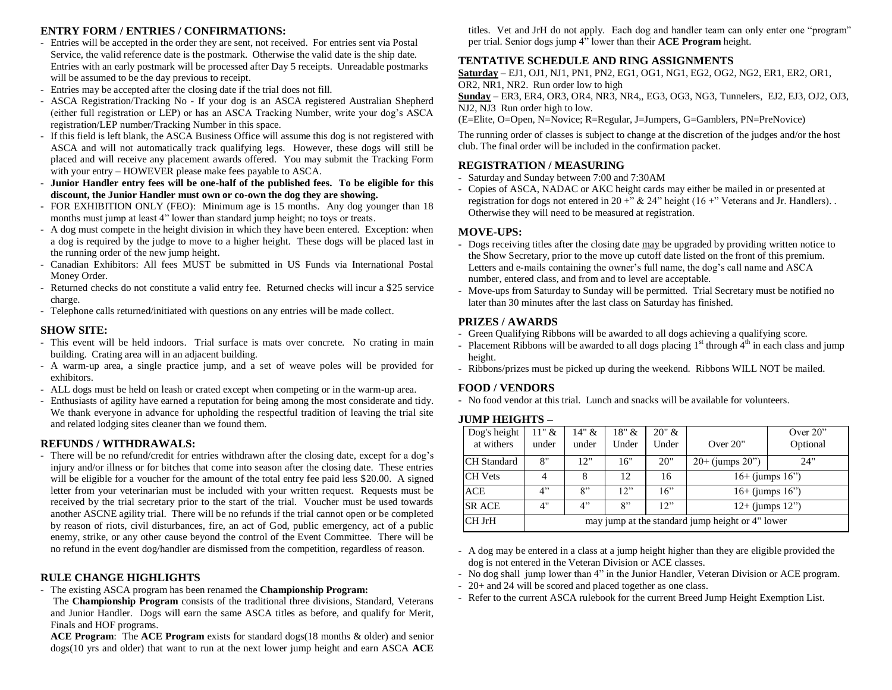#### **ENTRY FORM / ENTRIES / CONFIRMATIONS:**

- Entries will be accepted in the order they are sent, not received. For entries sent via Postal Service, the valid reference date is the postmark. Otherwise the valid date is the ship date. Entries with an early postmark will be processed after Day 5 receipts. Unreadable postmarks will be assumed to be the day previous to receipt.
- Entries may be accepted after the closing date if the trial does not fill.
- ASCA Registration/Tracking No If your dog is an ASCA registered Australian Shepherd (either full registration or LEP) or has an ASCA Tracking Number, write your dog's ASCA registration/LEP number/Tracking Number in this space.
- If this field is left blank, the ASCA Business Office will assume this dog is not registered with ASCA and will not automatically track qualifying legs. However, these dogs will still be placed and will receive any placement awards offered. You may submit the Tracking Form with your entry – HOWEVER please make fees payable to ASCA.
- **Junior Handler entry fees will be one-half of the published fees. To be eligible for this discount, the Junior Handler must own or co-own the dog they are showing.**
- FOR EXHIBITION ONLY (FEO): Minimum age is 15 months. Any dog younger than 18 months must jump at least 4" lower than standard jump height; no toys or treats.
- A dog must compete in the height division in which they have been entered. Exception: when a dog is required by the judge to move to a higher height. These dogs will be placed last in the running order of the new jump height.
- Canadian Exhibitors: All fees MUST be submitted in US Funds via International Postal Money Order.
- Returned checks do not constitute a valid entry fee. Returned checks will incur a \$25 service charge.
- Telephone calls returned/initiated with questions on any entries will be made collect.

#### **SHOW SITE:**

- This event will be held indoors. Trial surface is mats over concrete. No crating in main building. Crating area will in an adjacent building.
- A warm-up area, a single practice jump, and a set of weave poles will be provided for exhibitors.
- ALL dogs must be held on leash or crated except when competing or in the warm-up area.
- Enthusiasts of agility have earned a reputation for being among the most considerate and tidy. We thank everyone in advance for upholding the respectful tradition of leaving the trial site and related lodging sites cleaner than we found them.

#### **REFUNDS / WITHDRAWALS:**

- There will be no refund/credit for entries withdrawn after the closing date, except for a dog's injury and/or illness or for bitches that come into season after the closing date. These entries will be eligible for a voucher for the amount of the total entry fee paid less \$20.00. A signed letter from your veterinarian must be included with your written request. Requests must be received by the trial secretary prior to the start of the trial. Voucher must be used towards another ASCNE agility trial. There will be no refunds if the trial cannot open or be completed by reason of riots, civil disturbances, fire, an act of God, public emergency, act of a public enemy, strike, or any other cause beyond the control of the Event Committee. There will be no refund in the event dog/handler are dismissed from the competition, regardless of reason.

#### **RULE CHANGE HIGHLIGHTS**

- The existing ASCA program has been renamed the **Championship Program:**
- The **Championship Program** consists of the traditional three divisions, Standard, Veterans and Junior Handler. Dogs will earn the same ASCA titles as before, and qualify for Merit, Finals and HOF programs.

**ACE Program**: The **ACE Program** exists for standard dogs(18 months & older) and senior dogs(10 yrs and older) that want to run at the next lower jump height and earn ASCA **ACE** titles. Vet and JrH do not apply. Each dog and handler team can only enter one "program" per trial. Senior dogs jump 4" lower than their **ACE Program** height.

#### **TENTATIVE SCHEDULE AND RING ASSIGNMENTS**

**Saturday** – EJ1, OJ1, NJ1, PN1, PN2, EG1, OG1, NG1, EG2, OG2, NG2, ER1, ER2, OR1, OR2, NR1, NR2. Run order low to high

**Sunday** – ER3, ER4, OR3, OR4, NR3, NR4,, EG3, OG3, NG3, Tunnelers, EJ2, EJ3, OJ2, OJ3, NJ2, NJ3 Run order high to low.

(E=Elite, O=Open, N=Novice; R=Regular, J=Jumpers, G=Gamblers, PN=PreNovice)

The running order of classes is subject to change at the discretion of the judges and/or the host club. The final order will be included in the confirmation packet.

#### **REGISTRATION / MEASURING**

- Saturday and Sunday between 7:00 and 7:30AM
- Copies of ASCA, NADAC or AKC height cards may either be mailed in or presented at registration for dogs not entered in 20 +"  $\&$  24" height (16 +" Veterans and Jr. Handlers). Otherwise they will need to be measured at registration.

#### **MOVE-UPS:**

- Dogs receiving titles after the closing date may be upgraded by providing written notice to the Show Secretary, prior to the move up cutoff date listed on the front of this premium. Letters and e-mails containing the owner's full name, the dog's call name and ASCA number, entered class, and from and to level are acceptable.
- Move-ups from Saturday to Sunday will be permitted. Trial Secretary must be notified no later than 30 minutes after the last class on Saturday has finished.

#### **PRIZES / AWARDS**

- Green Qualifying Ribbons will be awarded to all dogs achieving a qualifying score.
- Placement Ribbons will be awarded to all dogs placing  $1<sup>st</sup>$  through  $4<sup>th</sup>$  in each class and jump height.
- Ribbons/prizes must be picked up during the weekend. Ribbons WILL NOT be mailed.

#### **FOOD / VENDORS**

- No food vendor at this trial. Lunch and snacks will be available for volunteers.

#### **JUMP HEIGHTS –**

| Dog's height<br>at withers | $11"$ &<br>under                                 | 14" &<br>under | $18"$ &<br>Under | 20" &<br>Under | Over $20$ "          | Over $20$ "<br>Optional |  |  |  |  |
|----------------------------|--------------------------------------------------|----------------|------------------|----------------|----------------------|-------------------------|--|--|--|--|
| <b>CH</b> Standard         | 8"                                               | 12"            | 16"              | 20"            | $20+$ (jumps $20$ ") | 24"                     |  |  |  |  |
| <b>CH</b> Vets             |                                                  | 8              | 12               | 16             | $16+$ (jumps $16"$ ) |                         |  |  |  |  |
| <b>ACE</b>                 | 4"                                               | 8"             | 12"              | 16"            | $16+$ (jumps $16"$ ) |                         |  |  |  |  |
| <b>SR ACE</b>              | 4"                                               | 4"             | 8"               | 12"            | $12+$ (jumps $12"$ ) |                         |  |  |  |  |
| CH JrH                     | may jump at the standard jump height or 4" lower |                |                  |                |                      |                         |  |  |  |  |

- A dog may be entered in a class at a jump height higher than they are eligible provided the dog is not entered in the Veteran Division or ACE classes.

- No dog shall jump lower than 4" in the Junior Handler, Veteran Division or ACE program.
- 20+ and 24 will be scored and placed together as one class.
- Refer to the current ASCA rulebook for the current Breed Jump Height Exemption List.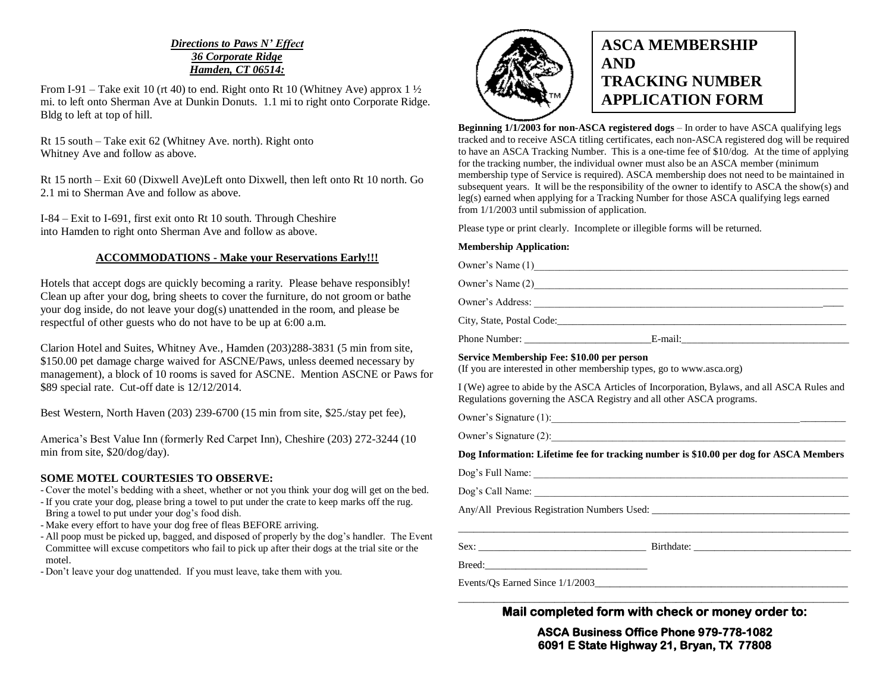#### *Directions to Paws N' Effect 36 Corporate Ridge Hamden, CT 06514:*

From I-91 – Take exit 10 (rt 40) to end. Right onto Rt 10 (Whitney Ave) approx  $1\frac{1}{2}$ mi. to left onto Sherman Ave at Dunkin Donuts. 1.1 mi to right onto Corporate Ridge. Bldg to left at top of hill.

Rt 15 south – Take exit 62 (Whitney Ave. north). Right onto Whitney Ave and follow as above.

Rt 15 north – Exit 60 (Dixwell Ave)Left onto Dixwell, then left onto Rt 10 north. Go 2.1 mi to Sherman Ave and follow as above.

I-84 – Exit to I-691, first exit onto Rt 10 south. Through Cheshire into Hamden to right onto Sherman Ave and follow as above.

#### **ACCOMMODATIONS - Make your Reservations Early!!!**

Hotels that accept dogs are quickly becoming a rarity. Please behave responsibly! Clean up after your dog, bring sheets to cover the furniture, do not groom or bathe your dog inside, do not leave your dog(s) unattended in the room, and please be respectful of other guests who do not have to be up at 6:00 a.m.

Clarion Hotel and Suites, Whitney Ave., Hamden (203)288-3831 (5 min from site, \$150.00 pet damage charge waived for ASCNE/Paws, unless deemed necessary by management), a block of 10 rooms is saved for ASCNE. Mention ASCNE or Paws for \$89 special rate. Cut-off date is 12/12/2014.

Best Western, North Haven (203) 239-6700 (15 min from site, \$25./stay pet fee),

America's Best Value Inn (formerly Red Carpet Inn), Cheshire (203) 272-3244 (10 min from site, \$20/dog/day).

#### **SOME MOTEL COURTESIES TO OBSERVE:**

- Cover the motel's bedding with a sheet, whether or not you think your dog will get on the bed.

- If you crate your dog, please bring a towel to put under the crate to keep marks off the rug. Bring a towel to put under your dog's food dish.
- Make every effort to have your dog free of fleas BEFORE arriving.
- All poop must be picked up, bagged, and disposed of properly by the dog's handler. The Event Committee will excuse competitors who fail to pick up after their dogs at the trial site or the motel.

- Don't leave your dog unattended. If you must leave, take them with you.



## **ASCA MEMBERSHIP AND TRACKING NUMBER APPLICATION FORM**

**Beginning 1/1/2003 for non-ASCA registered dogs** – In order to have ASCA qualifying legs tracked and to receive ASCA titling certificates, each non-ASCA registered dog will be required to have an ASCA Tracking Number. This is a one-time fee of \$10/dog. At the time of applying for the tracking number, the individual owner must also be an ASCA member (minimum membership type of Service is required). ASCA membership does not need to be maintained in subsequent years. It will be the responsibility of the owner to identify to ASCA the show(s) and leg(s) earned when applying for a Tracking Number for those ASCA qualifying legs earned from 1/1/2003 until submission of application.

Please type or print clearly. Incomplete or illegible forms will be returned.

#### **Membership Application:**

Owner's Name (1)\_\_\_\_\_\_\_\_\_\_\_\_\_\_\_\_\_\_\_\_\_\_\_\_\_\_\_\_\_\_\_\_\_\_\_\_\_\_\_\_\_\_\_\_\_\_\_\_\_\_\_\_\_\_\_\_\_\_\_\_\_\_ Owner's Name (2)

Owner's Address: \_\_\_\_\_\_\_\_\_\_\_\_\_\_\_\_\_\_\_\_\_\_\_\_\_\_\_\_\_\_\_\_\_\_\_\_\_\_\_\_\_\_\_\_\_\_\_\_\_\_\_\_\_\_\_\_\_\_\_\_\_

City, State, Postal Code:

Phone Number:  $E$ -mail:

#### **Service Membership Fee: \$10.00 per person**

(If you are interested in other membership types, go to www.asca.org)

I (We) agree to abide by the ASCA Articles of Incorporation, Bylaws, and all ASCA Rules and Regulations governing the ASCA Registry and all other ASCA programs.

Owner's Signature (1):\_\_\_\_\_\_\_\_\_\_\_\_\_\_\_\_\_\_\_\_\_\_\_\_\_\_\_\_\_\_\_\_\_\_\_\_\_\_\_\_\_\_\_\_\_\_\_\_\_\_\_\_\_\_\_\_\_\_

Owner's Signature  $(2)$ :

**Dog Information: Lifetime fee for tracking number is \$10.00 per dog for ASCA Members**

 $\overline{\phantom{a}}$  , and the set of the set of the set of the set of the set of the set of the set of the set of the set of the set of the set of the set of the set of the set of the set of the set of the set of the set of the s

Dog's Full Name: \_\_\_\_\_\_\_\_\_\_\_\_\_\_\_\_\_\_\_\_\_\_\_\_\_\_\_\_\_\_\_\_\_\_\_\_\_\_\_\_\_\_\_\_\_\_\_\_\_\_\_\_\_\_\_\_\_\_\_\_\_\_

Dog's Call Name: \_\_\_\_\_\_\_\_\_\_\_\_\_\_\_\_\_\_\_\_\_\_\_\_\_\_\_\_\_\_\_\_\_\_\_\_\_\_\_\_\_\_\_\_\_\_\_\_\_\_\_\_\_\_\_\_\_\_\_\_\_\_

Any/All Previous Registration Numbers Used: \_\_\_\_\_\_\_\_\_\_\_\_\_\_\_\_\_\_\_\_\_\_\_\_\_\_\_\_\_\_\_\_\_\_\_\_\_\_\_

Sex: \_\_\_\_\_\_\_\_\_\_\_\_\_\_\_\_\_\_\_\_\_\_\_\_\_\_\_\_\_\_\_\_\_ Birthdate: \_\_\_\_\_\_\_\_\_\_\_\_\_\_\_\_\_\_\_\_\_\_\_\_\_\_\_\_\_\_\_

Breed:

Events/Os Earned Since  $1/1/2003$ 

\_\_\_\_\_\_\_\_\_\_\_\_\_\_\_\_\_\_\_\_\_\_\_\_\_\_\_\_\_\_\_\_\_\_\_\_\_\_\_\_\_\_\_\_\_\_\_\_\_\_\_\_\_\_\_\_\_\_\_\_\_\_\_\_\_\_\_\_\_\_\_\_\_\_\_\_\_ **Mail completed form with check or money order to:** 

> **ASCA Business Office Phone 979-778-1082 6091 E State Highway 21, Bryan, TX 77808**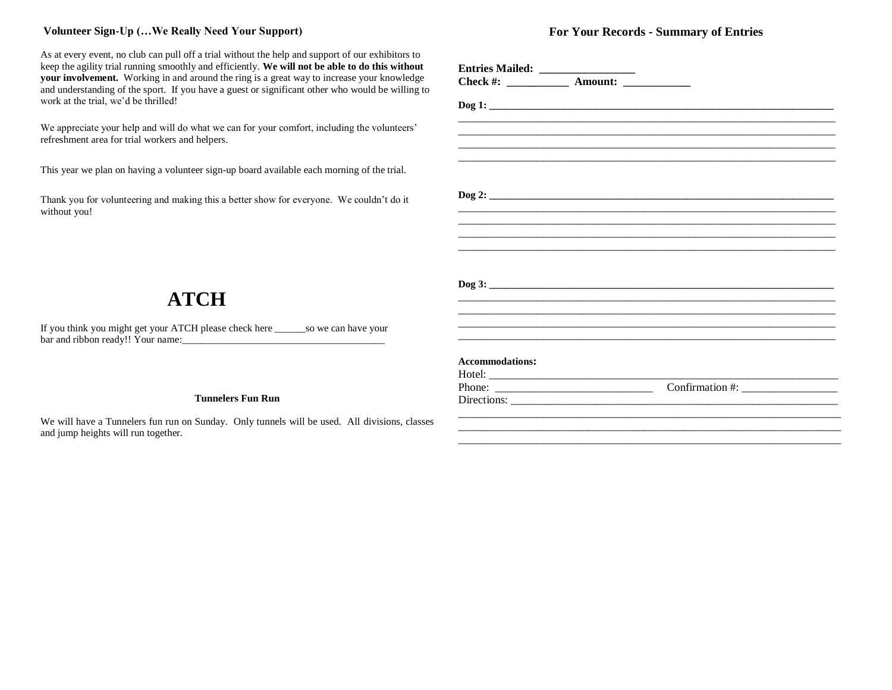#### **Volunteer Sign-Up (…We Really Need Your Support)**

As at every event, no club can pull off a trial without the help and support of our exhibitors to keep the agility trial running smoothly and efficiently. **We will not be able to do this without your involvement.** Working in and around the ring is a great way to increase your knowledge and understanding of the sport. If you have a guest or significant other who would be willing to work at the trial, we'd be thrilled!

We appreciate your help and will do what we can for your comfort, including the volunteers' refreshment area for trial workers and helpers.

This year we plan on having a volunteer sign-up board available each morning of the trial.

Thank you for volunteering and making this a better show for everyone. We couldn't do it without you!

# **ATCH**

If you think you might get your ATCH please check here \_\_\_\_\_\_so we can have your bar and ribbon ready!! Your name:\_\_\_\_\_\_\_\_\_\_\_\_\_\_\_\_\_\_\_\_\_\_\_\_\_\_\_\_\_\_\_\_\_\_\_\_\_\_\_\_

#### **Tunnelers Fun Run**

We will have a Tunnelers fun run on Sunday. Only tunnels will be used. All divisions, classes and jump heights will run together.

#### **For Your Records - Summary of Entries**

| <b>Accommodations:</b> |                               |  |
|------------------------|-------------------------------|--|
|                        |                               |  |
|                        | Confirmation #: $\frac{1}{2}$ |  |
|                        |                               |  |
|                        |                               |  |

\_\_\_\_\_\_\_\_\_\_\_\_\_\_\_\_\_\_\_\_\_\_\_\_\_\_\_\_\_\_\_\_\_\_\_\_\_\_\_\_\_\_\_\_\_\_\_\_\_\_\_\_\_\_\_\_\_\_\_\_\_\_\_\_\_\_\_\_